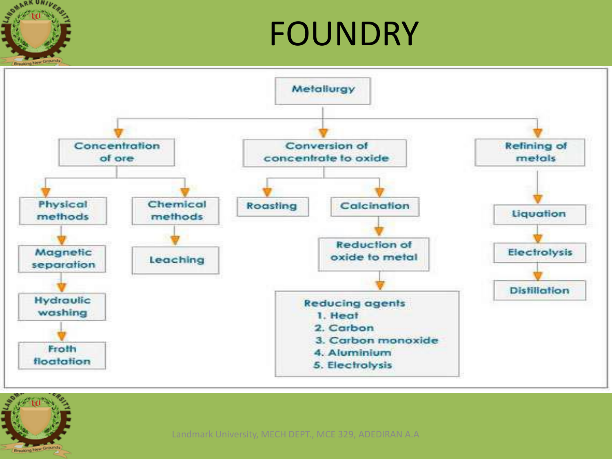

### FOUNDRY





Landmark University, MECH DEPT., MCE 329, ADEDIRAN A.A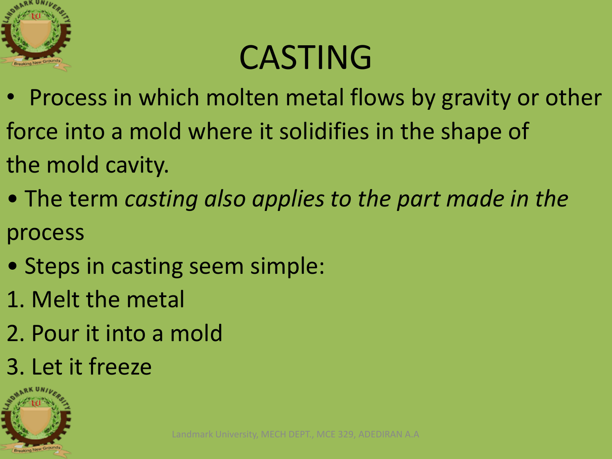

## CASTING

- Process in which molten metal flows by gravity or other force into a mold where it solidifies in the shape of the mold cavity.
- The term *casting also applies to the part made in the* process
- Steps in casting seem simple:
- 1. Melt the metal
- 2. Pour it into a mold
- 3. Let it freeze

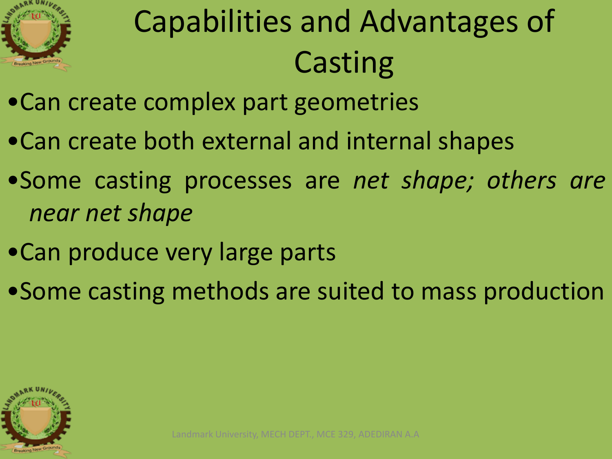

# Capabilities and Advantages of **Casting**

- •Can create complex part geometries
- •Can create both external and internal shapes
- •Some casting processes are *net shape; others are near net shape*
- •Can produce very large parts
- •Some casting methods are suited to mass production

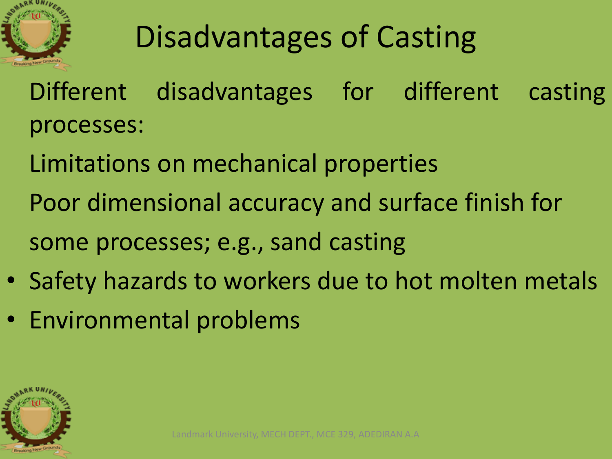

## Disadvantages of Casting

- Different disadvantages for different casting processes:
- Limitations on mechanical properties Poor dimensional accuracy and surface finish for some processes; e.g., sand casting
- Safety hazards to workers due to hot molten metals
- Environmental problems

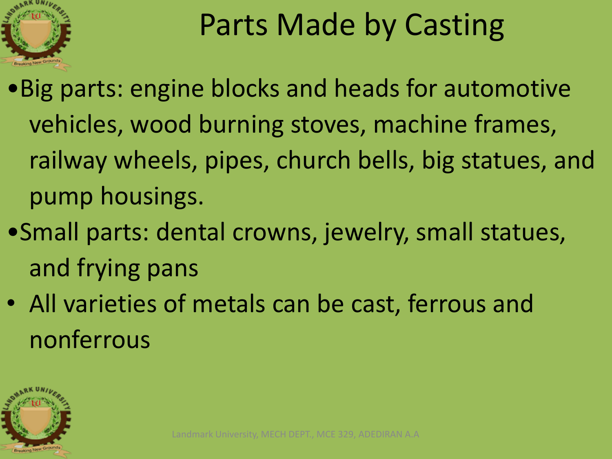

#### Parts Made by Casting

- •Big parts: engine blocks and heads for automotive vehicles, wood burning stoves, machine frames, railway wheels, pipes, church bells, big statues, and pump housings.
- •Small parts: dental crowns, jewelry, small statues, and frying pans
- All varieties of metals can be cast, ferrous and nonferrous

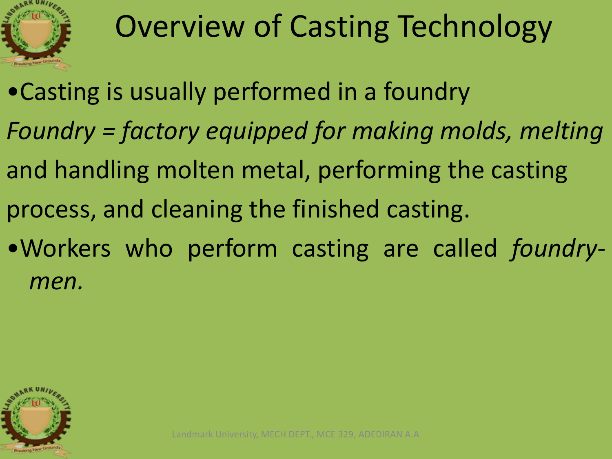

## Overview of Casting Technology

•Casting is usually performed in a foundry *Foundry = factory equipped for making molds, melting* and handling molten metal, performing the casting process, and cleaning the finished casting. •Workers who perform casting are called *foundrymen.*

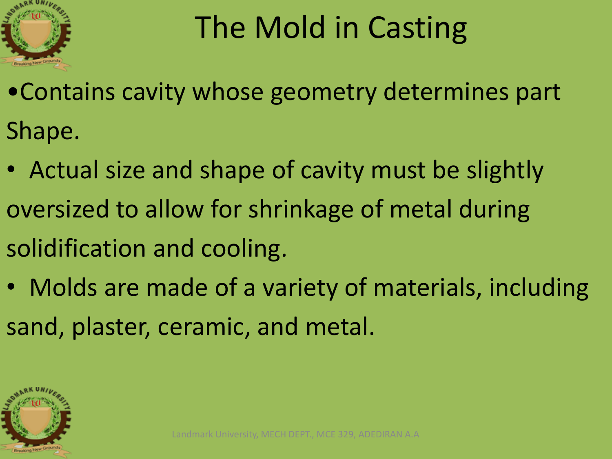

## The Mold in Casting

- •Contains cavity whose geometry determines part Shape.
- Actual size and shape of cavity must be slightly oversized to allow for shrinkage of metal during solidification and cooling.
- Molds are made of a variety of materials, including sand, plaster, ceramic, and metal.

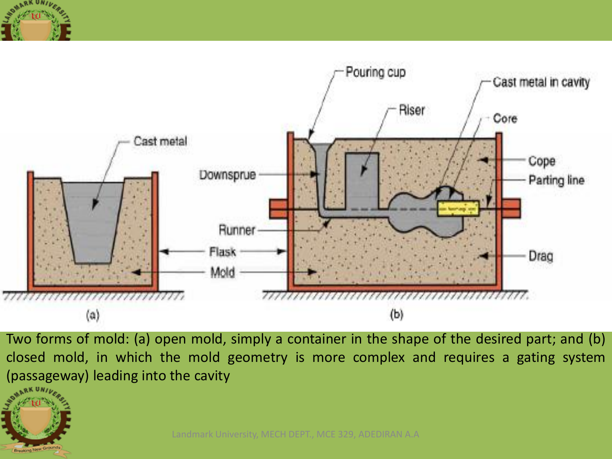

**Breaking New Ground** 



Two forms of mold: (a) open mold, simply a container in the shape of the desired part; and (b) closed mold, in which the mold geometry is more complex and requires a gating system (passageway) leading into the cavity

Landmark University, MECH DEPT., MCE 329, ADEDIRAN A.A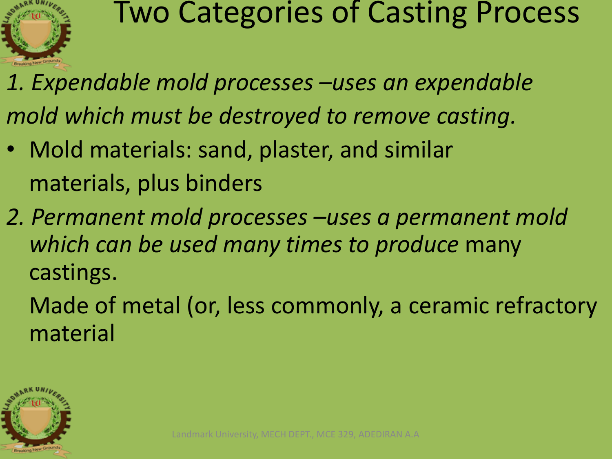

#### Two Categories of Casting Process

- *1. Expendable mold processes –uses an expendable mold which must be destroyed to remove casting.*
- Mold materials: sand, plaster, and similar materials, plus binders
- *2. Permanent mold processes –uses a permanent mold which can be used many times to produce* many castings.

Made of metal (or, less commonly, a ceramic refractory material

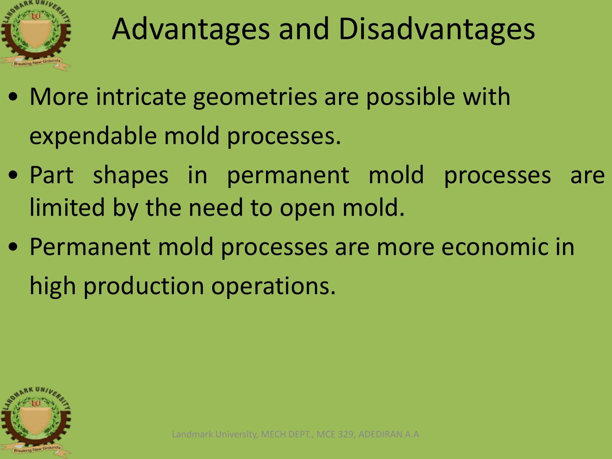

#### Advantages and Disadvantages

- More intricate geometries are possible with expendable mold processes.
- Part shapes in permanent mold processes are limited by the need to open mold.
- Permanent mold processes are more economic in high production operations.

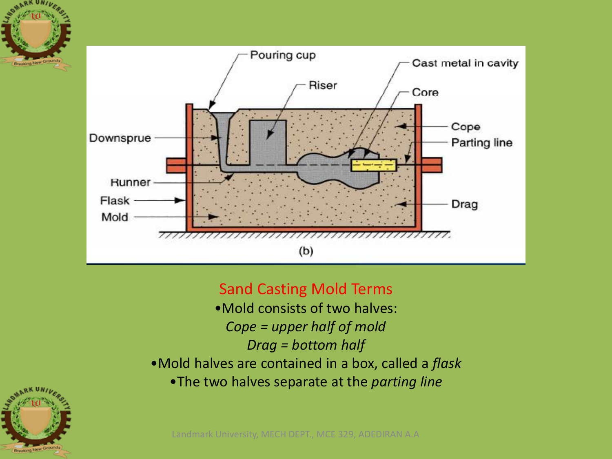

#### Sand Casting Mold Terms

- •Mold consists of two halves: *Cope = upper half of mold Drag = bottom half*
- •Mold halves are contained in a box, called a *flask*
	- •The two halves separate at the *parting line*



Breaking New

Landmark University, MECH DEPT., MCE 329, ADEDIRAN A.A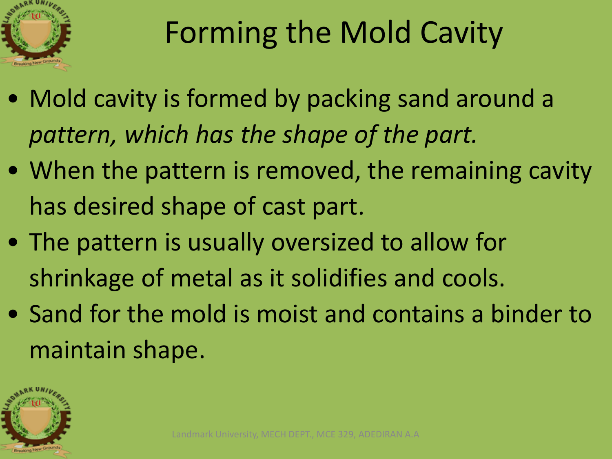

### Forming the Mold Cavity

- Mold cavity is formed by packing sand around a *pattern, which has the shape of the part.*
- When the pattern is removed, the remaining cavity has desired shape of cast part.
- The pattern is usually oversized to allow for shrinkage of metal as it solidifies and cools.
- Sand for the mold is moist and contains a binder to maintain shape.

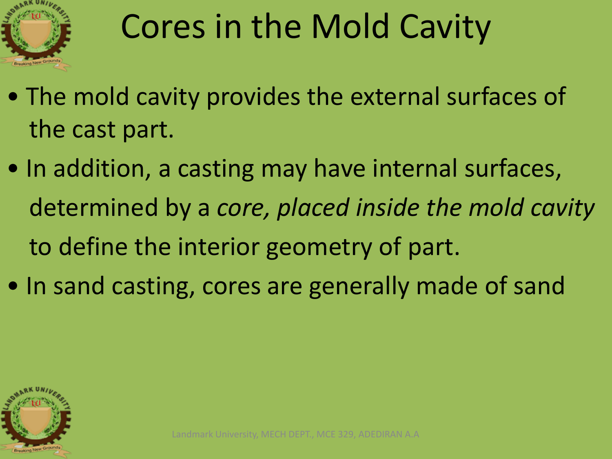

# Cores in the Mold Cavity

- The mold cavity provides the external surfaces of the cast part.
- In addition, a casting may have internal surfaces, determined by a *core, placed inside the mold cavity* to define the interior geometry of part.
- In sand casting, cores are generally made of sand

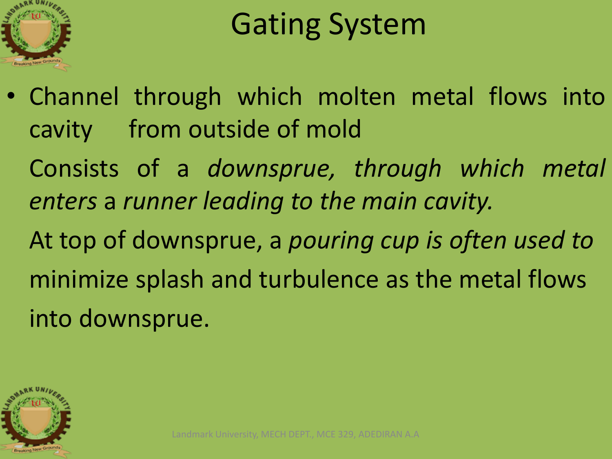

#### Gating System

• Channel through which molten metal flows into cavity from outside of mold Consists of a *downsprue, through which metal enters* a *runner leading to the main cavity.* At top of downsprue, a *pouring cup is often used to* minimize splash and turbulence as the metal flows into downsprue.

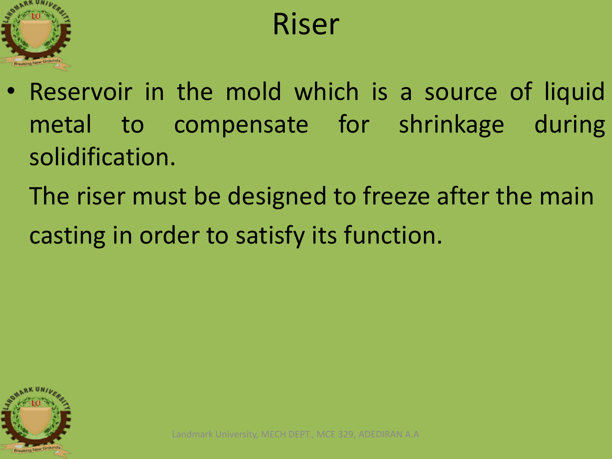

#### Riser

- Reservoir in the mold which is a source of liquid metal to compensate for shrinkage during solidification.
	- The riser must be designed to freeze after the main casting in order to satisfy its function.

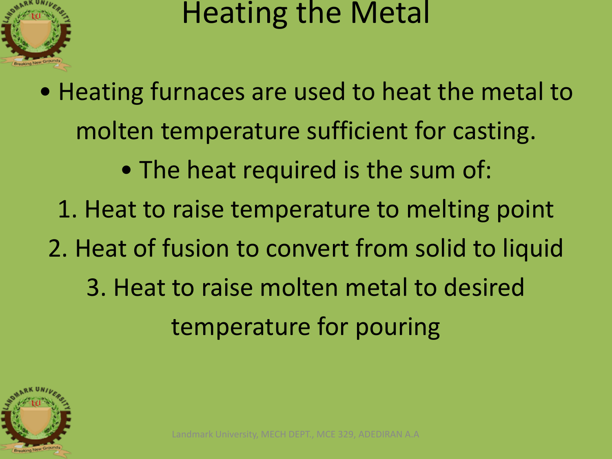

#### Heating the Metal

• Heating furnaces are used to heat the metal to molten temperature sufficient for casting. • The heat required is the sum of: 1. Heat to raise temperature to melting point 2. Heat of fusion to convert from solid to liquid 3. Heat to raise molten metal to desired temperature for pouring

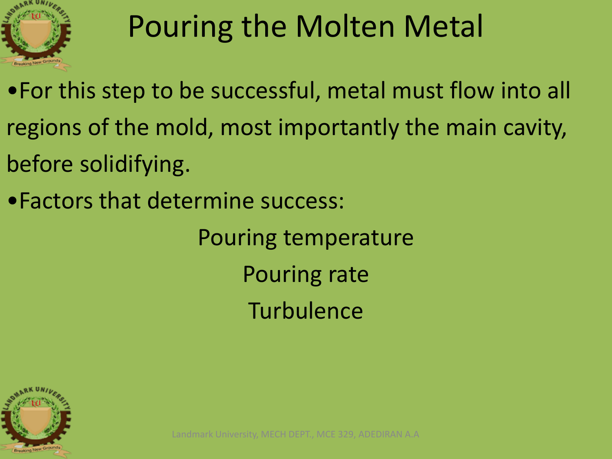

## Pouring the Molten Metal

•For this step to be successful, metal must flow into all regions of the mold, most importantly the main cavity, before solidifying.

•Factors that determine success:

Pouring temperature Pouring rate **Turbulence** 

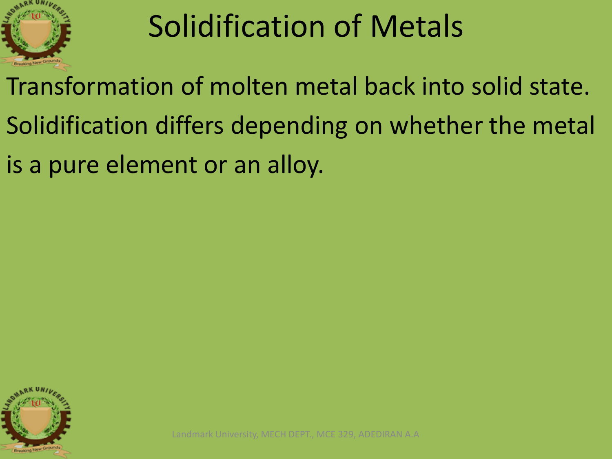

#### Solidification of Metals

Transformation of molten metal back into solid state. Solidification differs depending on whether the metal is a pure element or an alloy.

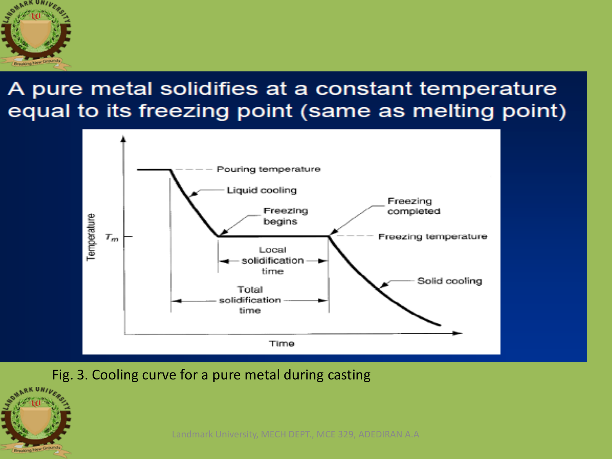

#### A pure metal solidifies at a constant temperature equal to its freezing point (same as melting point)



Fig. 3. Cooling curve for a pure metal during casting



Landmark University, MECH DEPT., MCE 329, ADEDIRAN A.A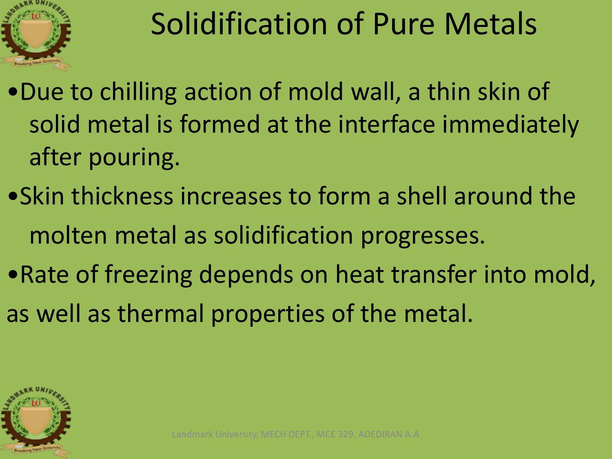

## Solidification of Pure Metals

- •Due to chilling action of mold wall, a thin skin of solid metal is formed at the interface immediately after pouring.
- •Skin thickness increases to form a shell around the molten metal as solidification progresses.
- •Rate of freezing depends on heat transfer into mold, as well as thermal properties of the metal.

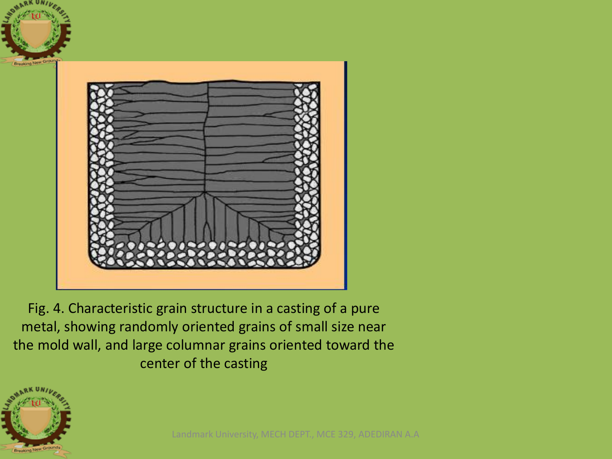

Fig. 4. Characteristic grain structure in a casting of a pure metal, showing randomly oriented grains of small size near the mold wall, and large columnar grains oriented toward the center of the casting

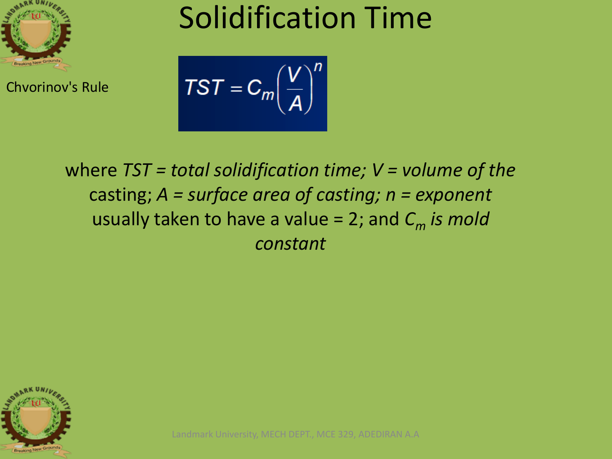

Chvorinov's Rule

#### Solidification Time

$$
TST = C_m \left(\frac{V}{A}\right)^n
$$

where *TST = total solidification time; V = volume of the* casting; *A = surface area of casting; n = exponent* usually taken to have a value = 2; and *C<sup>m</sup> is mold constant*



Landmark University, MECH DEPT., MCE 329, ADEDIRAN A.A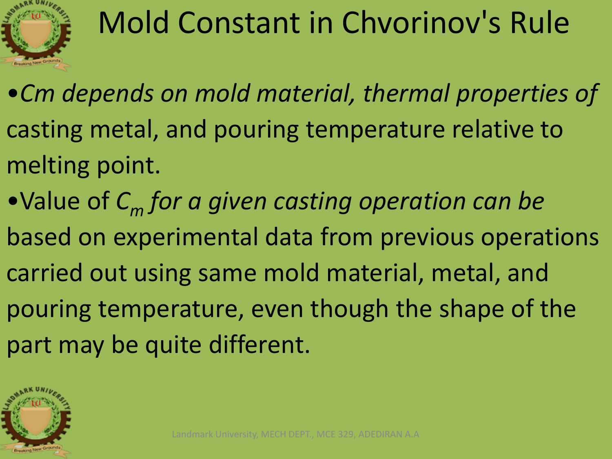

## Mold Constant in Chvorinov's Rule

- •*Cm depends on mold material, thermal properties of* casting metal, and pouring temperature relative to melting point.
- •Value of *C<sup>m</sup> for a given casting operation can be* based on experimental data from previous operations carried out using same mold material, metal, and pouring temperature, even though the shape of the part may be quite different.

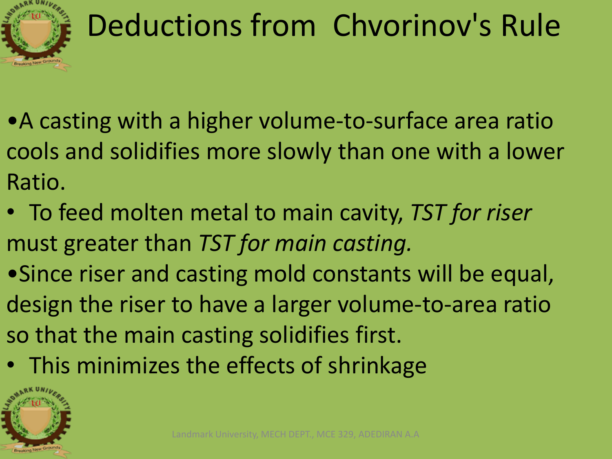

## Deductions from Chvorinov's Rule

- •A casting with a higher volume-to-surface area ratio cools and solidifies more slowly than one with a lower Ratio.
- To feed molten metal to main cavity, *TST for riser* must greater than *TST for main casting.*
- •Since riser and casting mold constants will be equal, design the riser to have a larger volume-to-area ratio so that the main casting solidifies first.
- This minimizes the effects of shrinkage

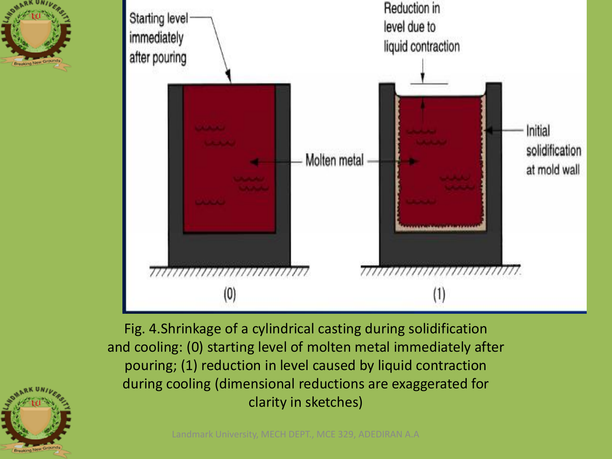



Fig. 4.Shrinkage of a cylindrical casting during solidification and cooling: (0) starting level of molten metal immediately after pouring; (1) reduction in level caused by liquid contraction during cooling (dimensional reductions are exaggerated for clarity in sketches)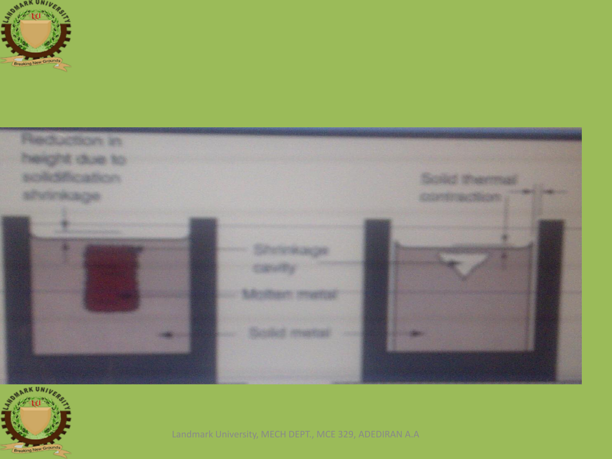





Landmark University, MECH DEPT., MCE 329, ADEDIRAN A.A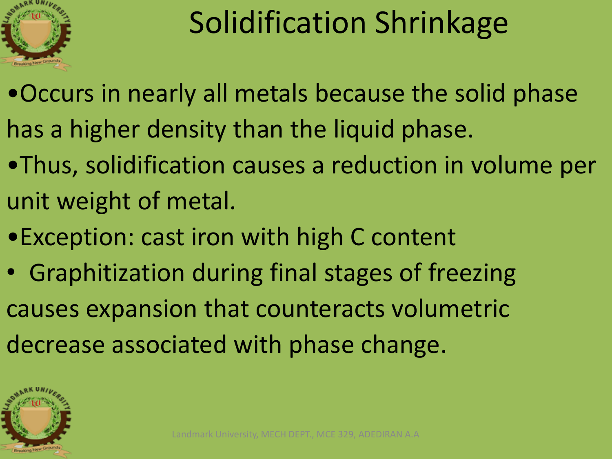

#### Solidification Shrinkage

- •Occurs in nearly all metals because the solid phase has a higher density than the liquid phase.
- •Thus, solidification causes a reduction in volume per unit weight of metal.
- •Exception: cast iron with high C content
- Graphitization during final stages of freezing causes expansion that counteracts volumetric decrease associated with phase change.

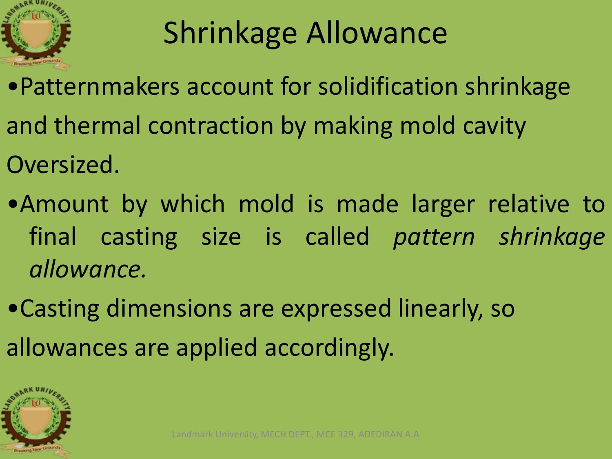

## Shrinkage Allowance

- •Patternmakers account for solidification shrinkage and thermal contraction by making mold cavity Oversized.
- •Amount by which mold is made larger relative to final casting size is called *pattern shrinkage allowance.*
- •Casting dimensions are expressed linearly, so allowances are applied accordingly.

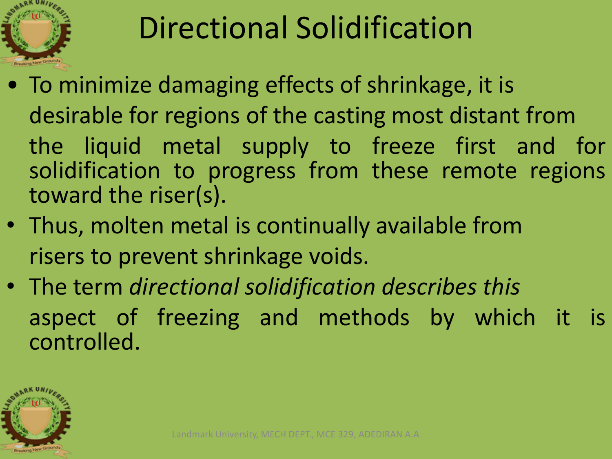

### Directional Solidification

- To minimize damaging effects of shrinkage, it is desirable for regions of the casting most distant from the liquid metal supply to freeze first and for solidification to progress from these remote regions toward the riser(s).
- Thus, molten metal is continually available from risers to prevent shrinkage voids.
- The term *directional solidification describes this* aspect of freezing and methods by which it is controlled.

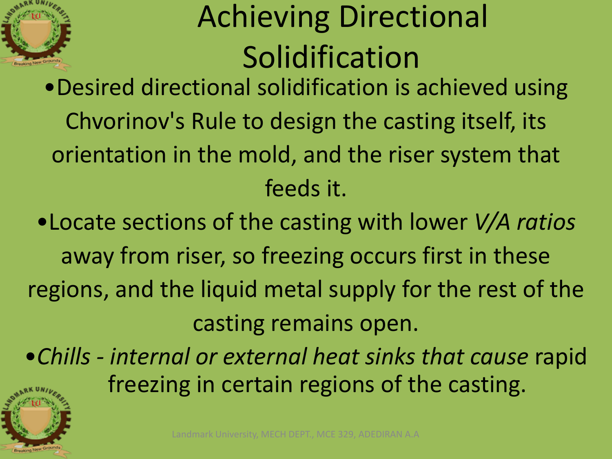

## Achieving Directional Solidification

•Desired directional solidification is achieved using Chvorinov's Rule to design the casting itself, its orientation in the mold, and the riser system that feeds it.

•Locate sections of the casting with lower *V/A ratios* away from riser, so freezing occurs first in these regions, and the liquid metal supply for the rest of the casting remains open.

•*Chills - internal or external heat sinks that cause* rapid freezing in certain regions of the casting.

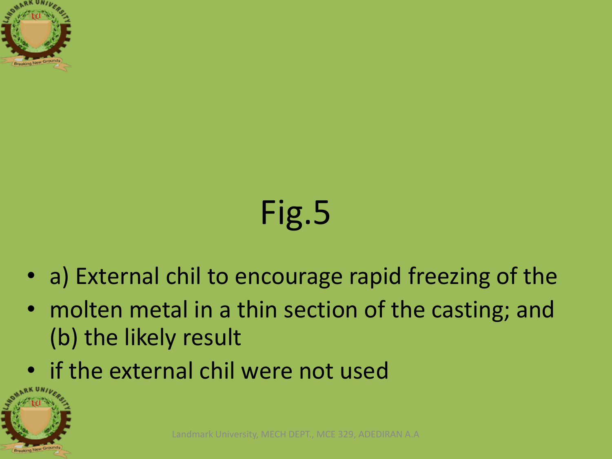

# Fig.5

- a) External chil to encourage rapid freezing of the
- molten metal in a thin section of the casting; and (b) the likely result
- if the external chil were not used